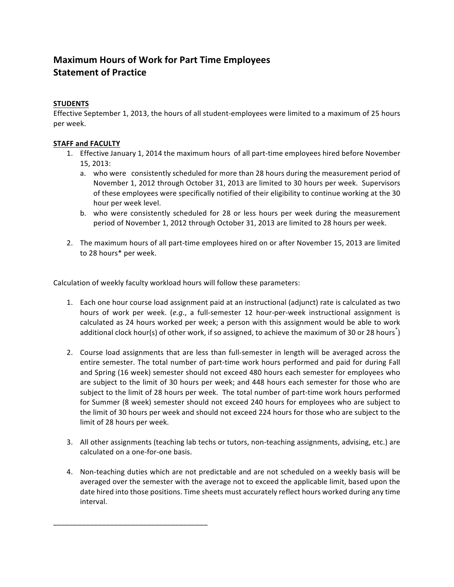## **Maximum Hours of Work for Part Time Employees Statement of Practice**

## **STUDENTS**

Effective September 1, 2013, the hours of all student-employees were limited to a maximum of 25 hours per week.

## **STAFF and FACULTY**

- 1. Effective January 1, 2014 the maximum hours of all part-time employees hired before November 15, 2013:
	- a. who were consistently scheduled for more than 28 hours during the measurement period of November 1, 2012 through October 31, 2013 are limited to 30 hours per week. Supervisors of these employees were specifically notified of their eligibility to continue working at the 30 hour per week level.
	- b. who were consistently scheduled for 28 or less hours per week during the measurement period of November 1, 2012 through October 31, 2013 are limited to 28 hours per week.
- 2. The maximum hours of all part-time employees hired on or after November 15, 2013 are limited to 28 hours\* per week.

Calculation of weekly faculty workload hours will follow these parameters:

\_\_\_\_\_\_\_\_\_\_\_\_\_\_\_\_\_\_\_\_\_\_\_\_\_\_\_\_\_\_\_\_\_\_\_\_\_\_

- 1. Each one hour course load assignment paid at an instructional (adjunct) rate is calculated as two hours of work per week. (*e.g.*, a full-semester 12 hour-per-week instructional assignment is calculated as 24 hours worked per week; a person with this assignment would be able to work additional clock hour(s) of other work, if so assigned, to achieve the maximum of 30 or 28 hours $^\ast$ )
- 2. Course load assignments that are less than full-semester in length will be averaged across the entire semester. The total number of part-time work hours performed and paid for during Fall and Spring (16 week) semester should not exceed 480 hours each semester for employees who are subject to the limit of 30 hours per week; and 448 hours each semester for those who are subject to the limit of 28 hours per week. The total number of part-time work hours performed for Summer (8 week) semester should not exceed 240 hours for employees who are subject to the limit of 30 hours per week and should not exceed 224 hours for those who are subject to the limit of 28 hours per week.
- 3. All other assignments (teaching lab techs or tutors, non-teaching assignments, advising, etc.) are calculated on a one-for-one basis.
- 4. Non-teaching duties which are not predictable and are not scheduled on a weekly basis will be averaged over the semester with the average not to exceed the applicable limit, based upon the date hired into those positions. Time sheets must accurately reflect hours worked during any time interval.